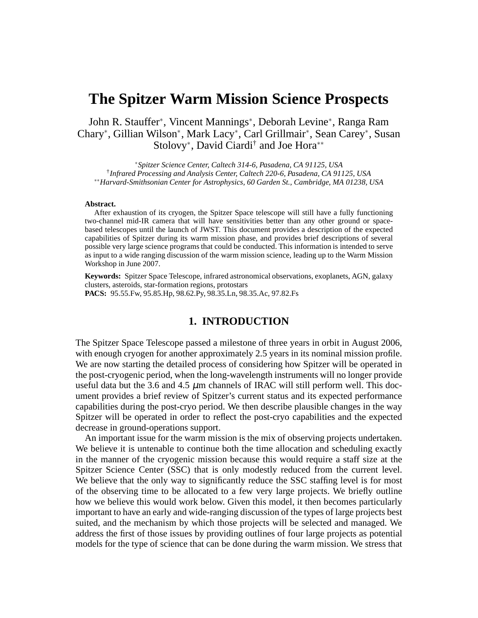# **The Spitzer Warm Mission Science Prospects**

John R. Stauffer\*, Vincent Mannings\*, Deborah Levine\*, Ranga Ram Chary<sup>∗</sup> , Gillian Wilson<sup>∗</sup> , Mark Lacy<sup>∗</sup> , Carl Grillmair<sup>∗</sup> , Sean Carey<sup>∗</sup> , Susan Stolovy<sup>∗</sup> , David Ciardi† and Joe Hora∗∗

<sup>∗</sup>*Spitzer Science Center, Caltech 314-6, Pasadena, CA 91125, USA* † *Infrared Processing and Analysis Center, Caltech 220-6, Pasadena, CA 91125, USA* ∗∗*Harvard-Smithsonian Center for Astrophysics, 60 Garden St., Cambridge, MA 01238, USA*

#### **Abstract.**

After exhaustion of its cryogen, the Spitzer Space telescope will still have a fully functioning two-channel mid-IR camera that will have sensitivities better than any other ground or spacebased telescopes until the launch of JWST. This document provides a description of the expected capabilities of Spitzer during its warm mission phase, and provides brief descriptions of several possible very large science programs that could be conducted. This information is intended to serve as input to a wide ranging discussion of the warm mission science, leading up to the Warm Mission Workshop in June 2007.

**Keywords:** Spitzer Space Telescope, infrared astronomical observations, exoplanets, AGN, galaxy clusters, asteroids, star-formation regions, protostars **PACS:** 95.55.Fw, 95.85.Hp, 98.62.Py, 98.35.Ln, 98.35.Ac, 97.82.Fs

### **1. INTRODUCTION**

The Spitzer Space Telescope passed a milestone of three years in orbit in August 2006, with enough cryogen for another approximately 2.5 years in its nominal mission profile. We are now starting the detailed process of considering how Spitzer will be operated in the post-cryogenic period, when the long-wavelength instruments will no longer provide useful data but the 3.6 and 4.5  $\mu$ m channels of IRAC will still perform well. This document provides a brief review of Spitzer's current status and its expected performance capabilities during the post-cryo period. We then describe plausible changes in the way Spitzer will be operated in order to reflect the post-cryo capabilities and the expected decrease in ground-operations support.

An important issue for the warm mission is the mix of observing projects undertaken. We believe it is untenable to continue both the time allocation and scheduling exactly in the manner of the cryogenic mission because this would require a staff size at the Spitzer Science Center (SSC) that is only modestly reduced from the current level. We believe that the only way to significantly reduce the SSC staffing level is for most of the observing time to be allocated to a few very large projects. We briefly outline how we believe this would work below. Given this model, it then becomes particularly important to have an early and wide-ranging discussion of the types of large projects best suited, and the mechanism by which those projects will be selected and managed. We address the first of those issues by providing outlines of four large projects as potential models for the type of science that can be done during the warm mission. We stress that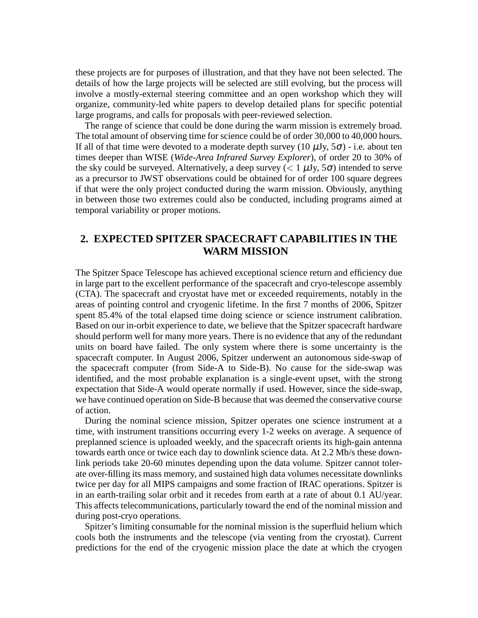these projects are for purposes of illustration, and that they have not been selected. The details of how the large projects will be selected are still evolving, but the process will involve a mostly-external steering committee and an open workshop which they will organize, community-led white papers to develop detailed plans for specific potential large programs, and calls for proposals with peer-reviewed selection.

The range of science that could be done during the warm mission is extremely broad. The total amount of observing time for science could be of order 30,000 to 40,000 hours. If all of that time were devoted to a moderate depth survey (10  $\mu$ Jy, 5 $\sigma$ ) - i.e. about ten times deeper than WISE (*Wide-Area Infrared Survey Explorer*), of order 20 to 30% of the sky could be surveyed. Alternatively, a deep survey ( $< 1 \mu Jy$ ,  $5\sigma$ ) intended to serve as a precursor to JWST observations could be obtained for of order 100 square degrees if that were the only project conducted during the warm mission. Obviously, anything in between those two extremes could also be conducted, including programs aimed at temporal variability or proper motions.

# **2. EXPECTED SPITZER SPACECRAFT CAPABILITIES IN THE WARM MISSION**

The Spitzer Space Telescope has achieved exceptional science return and efficiency due in large part to the excellent performance of the spacecraft and cryo-telescope assembly (CTA). The spacecraft and cryostat have met or exceeded requirements, notably in the areas of pointing control and cryogenic lifetime. In the first 7 months of 2006, Spitzer spent 85.4% of the total elapsed time doing science or science instrument calibration. Based on our in-orbit experience to date, we believe that the Spitzer spacecraft hardware should perform well for many more years. There is no evidence that any of the redundant units on board have failed. The only system where there is some uncertainty is the spacecraft computer. In August 2006, Spitzer underwent an autonomous side-swap of the spacecraft computer (from Side-A to Side-B). No cause for the side-swap was identified, and the most probable explanation is a single-event upset, with the strong expectation that Side-A would operate normally if used. However, since the side-swap, we have continued operation on Side-B because that was deemed the conservative course of action.

During the nominal science mission, Spitzer operates one science instrument at a time, with instrument transitions occurring every 1-2 weeks on average. A sequence of preplanned science is uploaded weekly, and the spacecraft orients its high-gain antenna towards earth once or twice each day to downlink science data. At 2.2 Mb/s these downlink periods take 20-60 minutes depending upon the data volume. Spitzer cannot tolerate over-filling its mass memory, and sustained high data volumes necessitate downlinks twice per day for all MIPS campaigns and some fraction of IRAC operations. Spitzer is in an earth-trailing solar orbit and it recedes from earth at a rate of about 0.1 AU/year. This affects telecommunications, particularly toward the end of the nominal mission and during post-cryo operations.

Spitzer's limiting consumable for the nominal mission is the superfluid helium which cools both the instruments and the telescope (via venting from the cryostat). Current predictions for the end of the cryogenic mission place the date at which the cryogen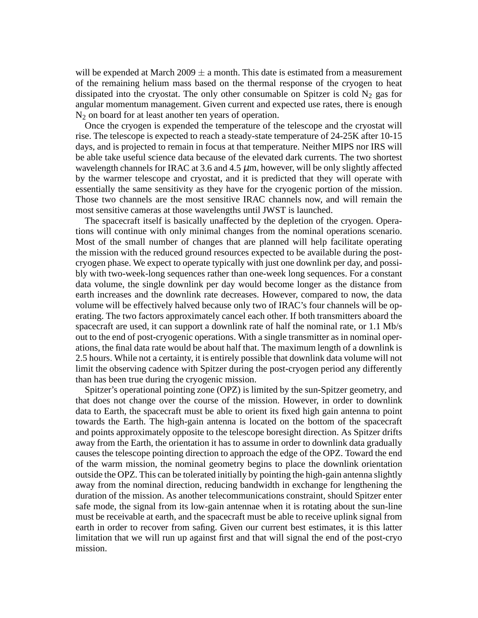will be expended at March  $2009 \pm a$  month. This date is estimated from a measurement of the remaining helium mass based on the thermal response of the cryogen to heat dissipated into the cryostat. The only other consumable on Spitzer is cold  $N_2$  gas for angular momentum management. Given current and expected use rates, there is enough  $N_2$  on board for at least another ten years of operation.

Once the cryogen is expended the temperature of the telescope and the cryostat will rise. The telescope is expected to reach a steady-state temperature of 24-25K after 10-15 days, and is projected to remain in focus at that temperature. Neither MIPS nor IRS will be able take useful science data because of the elevated dark currents. The two shortest wavelength channels for IRAC at 3.6 and 4.5  $\mu$ m, however, will be only slightly affected by the warmer telescope and cryostat, and it is predicted that they will operate with essentially the same sensitivity as they have for the cryogenic portion of the mission. Those two channels are the most sensitive IRAC channels now, and will remain the most sensitive cameras at those wavelengths until JWST is launched.

The spacecraft itself is basically unaffected by the depletion of the cryogen. Operations will continue with only minimal changes from the nominal operations scenario. Most of the small number of changes that are planned will help facilitate operating the mission with the reduced ground resources expected to be available during the postcryogen phase. We expect to operate typically with just one downlink per day, and possibly with two-week-long sequences rather than one-week long sequences. For a constant data volume, the single downlink per day would become longer as the distance from earth increases and the downlink rate decreases. However, compared to now, the data volume will be effectively halved because only two of IRAC's four channels will be operating. The two factors approximately cancel each other. If both transmitters aboard the spacecraft are used, it can support a downlink rate of half the nominal rate, or 1.1 Mb/s out to the end of post-cryogenic operations. With a single transmitter as in nominal operations, the final data rate would be about half that. The maximum length of a downlink is 2.5 hours. While not a certainty, it is entirely possible that downlink data volume will not limit the observing cadence with Spitzer during the post-cryogen period any differently than has been true during the cryogenic mission.

Spitzer's operational pointing zone (OPZ) is limited by the sun-Spitzer geometry, and that does not change over the course of the mission. However, in order to downlink data to Earth, the spacecraft must be able to orient its fixed high gain antenna to point towards the Earth. The high-gain antenna is located on the bottom of the spacecraft and points approximately opposite to the telescope boresight direction. As Spitzer drifts away from the Earth, the orientation it has to assume in order to downlink data gradually causes the telescope pointing direction to approach the edge of the OPZ. Toward the end of the warm mission, the nominal geometry begins to place the downlink orientation outside the OPZ. This can be tolerated initially by pointing the high-gain antenna slightly away from the nominal direction, reducing bandwidth in exchange for lengthening the duration of the mission. As another telecommunications constraint, should Spitzer enter safe mode, the signal from its low-gain antennae when it is rotating about the sun-line must be receivable at earth, and the spacecraft must be able to receive uplink signal from earth in order to recover from safing. Given our current best estimates, it is this latter limitation that we will run up against first and that will signal the end of the post-cryo mission.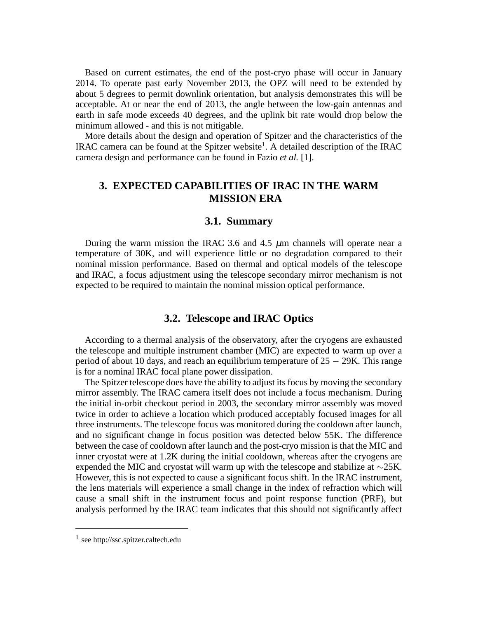Based on current estimates, the end of the post-cryo phase will occur in January 2014. To operate past early November 2013, the OPZ will need to be extended by about 5 degrees to permit downlink orientation, but analysis demonstrates this will be acceptable. At or near the end of 2013, the angle between the low-gain antennas and earth in safe mode exceeds 40 degrees, and the uplink bit rate would drop below the minimum allowed - and this is not mitigable.

More details about the design and operation of Spitzer and the characteristics of the IRAC camera can be found at the Spitzer website<sup>1</sup>. A detailed description of the IRAC camera design and performance can be found in Fazio *et al.* [1].

# **3. EXPECTED CAPABILITIES OF IRAC IN THE WARM MISSION ERA**

#### **3.1. Summary**

During the warm mission the IRAC 3.6 and 4.5  $\mu$ m channels will operate near a temperature of 30K, and will experience little or no degradation compared to their nominal mission performance. Based on thermal and optical models of the telescope and IRAC, a focus adjustment using the telescope secondary mirror mechanism is not expected to be required to maintain the nominal mission optical performance.

# **3.2. Telescope and IRAC Optics**

According to a thermal analysis of the observatory, after the cryogens are exhausted the telescope and multiple instrument chamber (MIC) are expected to warm up over a period of about 10 days, and reach an equilibrium temperature of  $25 - 29K$ . This range is for a nominal IRAC focal plane power dissipation.

The Spitzer telescope does have the ability to adjust its focus by moving the secondary mirror assembly. The IRAC camera itself does not include a focus mechanism. During the initial in-orbit checkout period in 2003, the secondary mirror assembly was moved twice in order to achieve a location which produced acceptably focused images for all three instruments. The telescope focus was monitored during the cooldown after launch, and no significant change in focus position was detected below 55K. The difference between the case of cooldown after launch and the post-cryo mission is that the MIC and inner cryostat were at 1.2K during the initial cooldown, whereas after the cryogens are expended the MIC and cryostat will warm up with the telescope and stabilize at ∼25K. However, this is not expected to cause a significant focus shift. In the IRAC instrument, the lens materials will experience a small change in the index of refraction which will cause a small shift in the instrument focus and point response function (PRF), but analysis performed by the IRAC team indicates that this should not significantly affect

<sup>1</sup> see http://ssc.spitzer.caltech.edu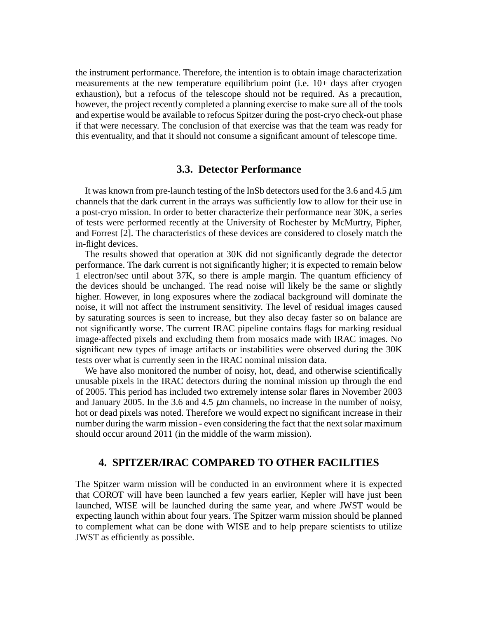the instrument performance. Therefore, the intention is to obtain image characterization measurements at the new temperature equilibrium point (i.e. 10+ days after cryogen exhaustion), but a refocus of the telescope should not be required. As a precaution, however, the project recently completed a planning exercise to make sure all of the tools and expertise would be available to refocus Spitzer during the post-cryo check-out phase if that were necessary. The conclusion of that exercise was that the team was ready for this eventuality, and that it should not consume a significant amount of telescope time.

# **3.3. Detector Performance**

It was known from pre-launch testing of the InSb detectors used for the 3.6 and 4.5  $\mu$ m channels that the dark current in the arrays was sufficiently low to allow for their use in a post-cryo mission. In order to better characterize their performance near 30K, a series of tests were performed recently at the University of Rochester by McMurtry, Pipher, and Forrest [2]. The characteristics of these devices are considered to closely match the in-flight devices.

The results showed that operation at 30K did not significantly degrade the detector performance. The dark current is not significantly higher; it is expected to remain below 1 electron/sec until about 37K, so there is ample margin. The quantum efficiency of the devices should be unchanged. The read noise will likely be the same or slightly higher. However, in long exposures where the zodiacal background will dominate the noise, it will not affect the instrument sensitivity. The level of residual images caused by saturating sources is seen to increase, but they also decay faster so on balance are not significantly worse. The current IRAC pipeline contains flags for marking residual image-affected pixels and excluding them from mosaics made with IRAC images. No significant new types of image artifacts or instabilities were observed during the 30K tests over what is currently seen in the IRAC nominal mission data.

We have also monitored the number of noisy, hot, dead, and otherwise scientifically unusable pixels in the IRAC detectors during the nominal mission up through the end of 2005. This period has included two extremely intense solar flares in November 2003 and January 2005. In the 3.6 and 4.5  $\mu$ m channels, no increase in the number of noisy, hot or dead pixels was noted. Therefore we would expect no significant increase in their number during the warm mission - even considering the fact that the next solar maximum should occur around 2011 (in the middle of the warm mission).

## **4. SPITZER/IRAC COMPARED TO OTHER FACILITIES**

The Spitzer warm mission will be conducted in an environment where it is expected that COROT will have been launched a few years earlier, Kepler will have just been launched, WISE will be launched during the same year, and where JWST would be expecting launch within about four years. The Spitzer warm mission should be planned to complement what can be done with WISE and to help prepare scientists to utilize JWST as efficiently as possible.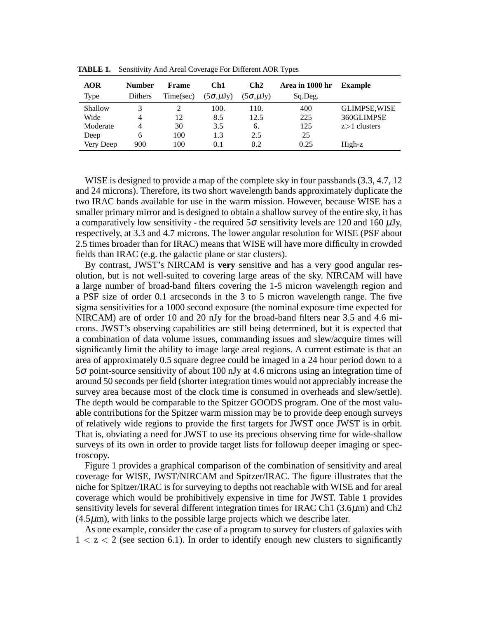| <b>AOR</b><br>Type | <b>Number</b><br><b>Dithers</b> | Frame<br>Time(sec) | Ch1<br>$(5\sigma, \mu Jy)$ | Ch2<br>$(5\sigma, \mu Jy)$ | Area in 1000 hr<br>Sq.Deg. | <b>Example</b>       |
|--------------------|---------------------------------|--------------------|----------------------------|----------------------------|----------------------------|----------------------|
| Shallow            |                                 |                    | 100.                       | 110.                       | 400                        | <b>GLIMPSE, WISE</b> |
| Wide               | 4                               | 12                 | 8.5                        | 12.5                       | 225                        | 360GLIMPSE           |
| Moderate           | 4                               | 30                 | 3.5                        | 6.                         | 125                        | $z>1$ clusters       |
| Deep               | 6                               | 100                | 1.3                        | 2.5                        | 25                         |                      |
| Very Deep          | 900                             | 100                | 0.1                        | 0.2                        | 0.25                       | High-z               |

**TABLE 1.** Sensitivity And Areal Coverage For Different AOR Types

WISE is designed to provide a map of the complete sky in four passbands (3.3, 4.7, 12 and 24 microns). Therefore, its two short wavelength bands approximately duplicate the two IRAC bands available for use in the warm mission. However, because WISE has a smaller primary mirror and is designed to obtain a shallow survey of the entire sky, it has a comparatively low sensitivity - the required  $5\sigma$  sensitivity levels are 120 and 160  $\mu$ Jy, respectively, at 3.3 and 4.7 microns. The lower angular resolution for WISE (PSF about 2.5 times broader than for IRAC) means that WISE will have more difficulty in crowded fields than IRAC (e.g. the galactic plane or star clusters).

By contrast, JWST's NIRCAM is **very** sensitive and has a very good angular resolution, but is not well-suited to covering large areas of the sky. NIRCAM will have a large number of broad-band filters covering the 1-5 micron wavelength region and a PSF size of order 0.1 arcseconds in the 3 to 5 micron wavelength range. The five sigma sensitivities for a 1000 second exposure (the nominal exposure time expected for NIRCAM) are of order 10 and 20 nJy for the broad-band filters near 3.5 and 4.6 microns. JWST's observing capabilities are still being determined, but it is expected that a combination of data volume issues, commanding issues and slew/acquire times will significantly limit the ability to image large areal regions. A current estimate is that an area of approximately 0.5 square degree could be imaged in a 24 hour period down to a 5<sup>σ</sup> point-source sensitivity of about 100 nJy at 4.6 microns using an integration time of around 50 seconds per field (shorter integration times would not appreciably increase the survey area because most of the clock time is consumed in overheads and slew/settle). The depth would be comparable to the Spitzer GOODS program. One of the most valuable contributions for the Spitzer warm mission may be to provide deep enough surveys of relatively wide regions to provide the first targets for JWST once JWST is in orbit. That is, obviating a need for JWST to use its precious observing time for wide-shallow surveys of its own in order to provide target lists for followup deeper imaging or spectroscopy.

Figure 1 provides a graphical comparison of the combination of sensitivity and areal coverage for WISE, JWST/NIRCAM and Spitzer/IRAC. The figure illustrates that the niche for Spitzer/IRAC is for surveying to depths not reachable with WISE and for areal coverage which would be prohibitively expensive in time for JWST. Table 1 provides sensitivity levels for several different integration times for IRAC Ch1 (3.6µm) and Ch2  $(4.5\mu m)$ , with links to the possible large projects which we describe later.

As one example, consider the case of a program to survey for clusters of galaxies with  $1 < z < 2$  (see section 6.1). In order to identify enough new clusters to significantly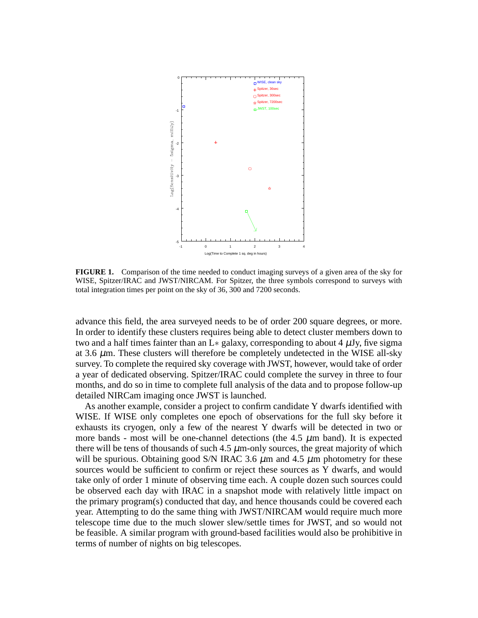

**FIGURE 1.** Comparison of the time needed to conduct imaging surveys of a given area of the sky for WISE, Spitzer/IRAC and JWST/NIRCAM. For Spitzer, the three symbols correspond to surveys with total integration times per point on the sky of 36, 300 and 7200 seconds.

advance this field, the area surveyed needs to be of order 200 square degrees, or more. In order to identify these clusters requires being able to detect cluster members down to two and a half times fainter than an L∗ galaxy, corresponding to about 4  $\mu$ Jy, five sigma at 3.6  $\mu$ m. These clusters will therefore be completely undetected in the WISE all-sky survey. To complete the required sky coverage with JWST, however, would take of order a year of dedicated observing. Spitzer/IRAC could complete the survey in three to four months, and do so in time to complete full analysis of the data and to propose follow-up detailed NIRCam imaging once JWST is launched.

As another example, consider a project to confirm candidate Y dwarfs identified with WISE. If WISE only completes one epoch of observations for the full sky before it exhausts its cryogen, only a few of the nearest Y dwarfs will be detected in two or more bands - most will be one-channel detections (the 4.5  $\mu$ m band). It is expected there will be tens of thousands of such  $4.5 \mu$ m-only sources, the great majority of which will be spurious. Obtaining good S/N IRAC 3.6  $\mu$ m and 4.5  $\mu$ m photometry for these sources would be sufficient to confirm or reject these sources as Y dwarfs, and would take only of order 1 minute of observing time each. A couple dozen such sources could be observed each day with IRAC in a snapshot mode with relatively little impact on the primary program(s) conducted that day, and hence thousands could be covered each year. Attempting to do the same thing with JWST/NIRCAM would require much more telescope time due to the much slower slew/settle times for JWST, and so would not be feasible. A similar program with ground-based facilities would also be prohibitive in terms of number of nights on big telescopes.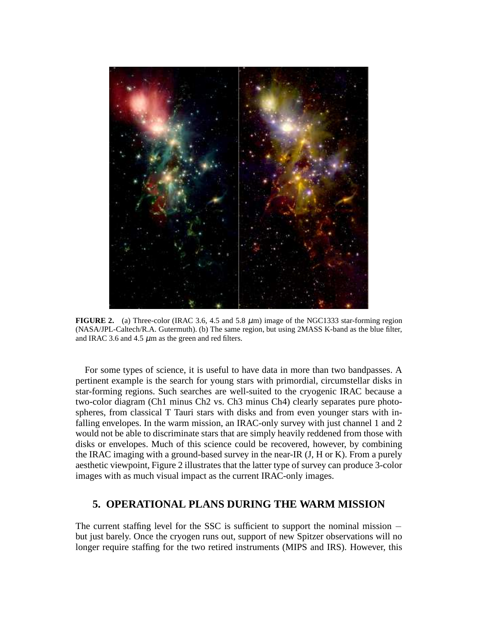

**FIGURE 2.** (a) Three-color (IRAC 3.6, 4.5 and 5.8  $\mu$ m) image of the NGC1333 star-forming region (NASA/JPL-Caltech/R.A. Gutermuth). (b) The same region, but using 2MASS K-band as the blue filter, and IRAC 3.6 and 4.5  $\mu$ m as the green and red filters.

For some types of science, it is useful to have data in more than two bandpasses. A pertinent example is the search for young stars with primordial, circumstellar disks in star-forming regions. Such searches are well-suited to the cryogenic IRAC because a two-color diagram (Ch1 minus Ch2 vs. Ch3 minus Ch4) clearly separates pure photospheres, from classical T Tauri stars with disks and from even younger stars with infalling envelopes. In the warm mission, an IRAC-only survey with just channel 1 and 2 would not be able to discriminate stars that are simply heavily reddened from those with disks or envelopes. Much of this science could be recovered, however, by combining the IRAC imaging with a ground-based survey in the near-IR (J, H or K). From a purely aesthetic viewpoint, Figure 2 illustrates that the latter type of survey can produce 3-color images with as much visual impact as the current IRAC-only images.

# **5. OPERATIONAL PLANS DURING THE WARM MISSION**

The current staffing level for the SSC is sufficient to support the nominal mission − but just barely. Once the cryogen runs out, support of new Spitzer observations will no longer require staffing for the two retired instruments (MIPS and IRS). However, this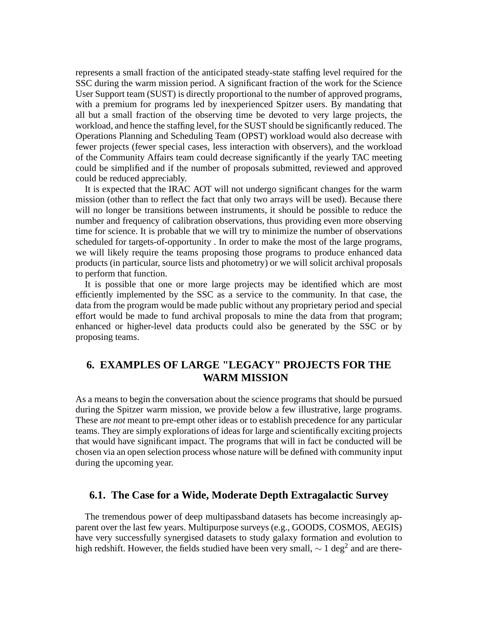represents a small fraction of the anticipated steady-state staffing level required for the SSC during the warm mission period. A significant fraction of the work for the Science User Support team (SUST) is directly proportional to the number of approved programs, with a premium for programs led by inexperienced Spitzer users. By mandating that all but a small fraction of the observing time be devoted to very large projects, the workload, and hence the staffing level, for the SUST should be significantly reduced. The Operations Planning and Scheduling Team (OPST) workload would also decrease with fewer projects (fewer special cases, less interaction with observers), and the workload of the Community Affairs team could decrease significantly if the yearly TAC meeting could be simplified and if the number of proposals submitted, reviewed and approved could be reduced appreciably.

It is expected that the IRAC AOT will not undergo significant changes for the warm mission (other than to reflect the fact that only two arrays will be used). Because there will no longer be transitions between instruments, it should be possible to reduce the number and frequency of calibration observations, thus providing even more observing time for science. It is probable that we will try to minimize the number of observations scheduled for targets-of-opportunity . In order to make the most of the large programs, we will likely require the teams proposing those programs to produce enhanced data products (in particular, source lists and photometry) or we will solicit archival proposals to perform that function.

It is possible that one or more large projects may be identified which are most efficiently implemented by the SSC as a service to the community. In that case, the data from the program would be made public without any proprietary period and special effort would be made to fund archival proposals to mine the data from that program; enhanced or higher-level data products could also be generated by the SSC or by proposing teams.

# **6. EXAMPLES OF LARGE "LEGACY" PROJECTS FOR THE WARM MISSION**

As a means to begin the conversation about the science programs that should be pursued during the Spitzer warm mission, we provide below a few illustrative, large programs. These are *not* meant to pre-empt other ideas or to establish precedence for any particular teams. They are simply explorations of ideas for large and scientifically exciting projects that would have significant impact. The programs that will in fact be conducted will be chosen via an open selection process whose nature will be defined with community input during the upcoming year.

### **6.1. The Case for a Wide, Moderate Depth Extragalactic Survey**

The tremendous power of deep multipassband datasets has become increasingly apparent over the last few years. Multipurpose surveys (e.g., GOODS, COSMOS, AEGIS) have very successfully synergised datasets to study galaxy formation and evolution to high redshift. However, the fields studied have been very small,  $\sim 1 \text{ deg}^2$  and are there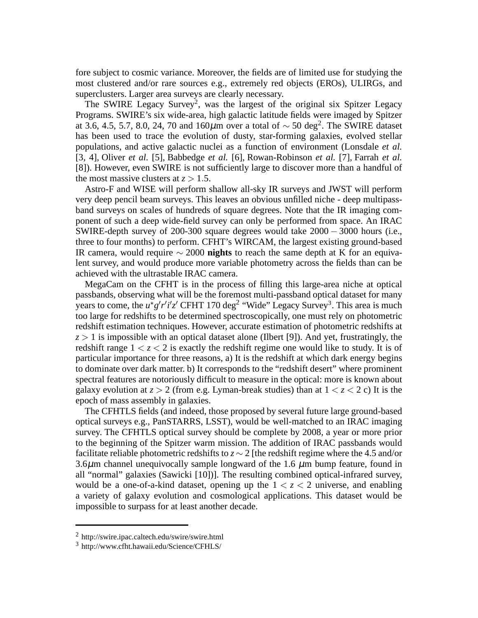fore subject to cosmic variance. Moreover, the fields are of limited use for studying the most clustered and/or rare sources e.g., extremely red objects (EROs), ULIRGs, and superclusters. Larger area surveys are clearly necessary.

The SWIRE Legacy Survey<sup>2</sup>, was the largest of the original six Spitzer Legacy Programs. SWIRE's six wide-area, high galactic latitude fields were imaged by Spitzer at 3.6, 4.5, 5.7, 8.0, 24, 70 and 160 $\mu$ m over a total of  $\sim$  50 deg<sup>2</sup>. The SWIRE dataset has been used to trace the evolution of dusty, star-forming galaxies, evolved stellar populations, and active galactic nuclei as a function of environment (Lonsdale *et al.* [3, 4], Oliver *et al.* [5], Babbedge *et al.* [6], Rowan-Robinson *et al.* [7], Farrah *et al.* [8]). However, even SWIRE is not sufficiently large to discover more than a handful of the most massive clusters at  $z > 1.5$ .

Astro-F and WISE will perform shallow all-sky IR surveys and JWST will perform very deep pencil beam surveys. This leaves an obvious unfilled niche - deep multipassband surveys on scales of hundreds of square degrees. Note that the IR imaging component of such a deep wide-field survey can only be performed from space. An IRAC SWIRE-depth survey of 200-300 square degrees would take 2000 − 3000 hours (i.e., three to four months) to perform. CFHT's WIRCAM, the largest existing ground-based IR camera, would require ∼ 2000 **nights** to reach the same depth at K for an equivalent survey, and would produce more variable photometry across the fields than can be achieved with the ultrastable IRAC camera.

MegaCam on the CFHT is in the process of filling this large-area niche at optical passbands, observing what will be the foremost multi-passband optical dataset for many years to come, the  $u^*g'r'i'z'$  CFHT 170 deg<sup>2</sup> "Wide" Legacy Survey<sup>3</sup>. This area is much too large for redshifts to be determined spectroscopically, one must rely on photometric redshift estimation techniques. However, accurate estimation of photometric redshifts at  $z > 1$  is impossible with an optical dataset alone (Ilbert [9]). And yet, frustratingly, the redshift range  $1 < z < 2$  is exactly the redshift regime one would like to study. It is of particular importance for three reasons, a) It is the redshift at which dark energy begins to dominate over dark matter. b) It corresponds to the "redshift desert" where prominent spectral features are notoriously difficult to measure in the optical: more is known about galaxy evolution at  $z > 2$  (from e.g. Lyman-break studies) than at  $1 < z < 2$  c) It is the epoch of mass assembly in galaxies.

The CFHTLS fields (and indeed, those proposed by several future large ground-based optical surveys e.g., PanSTARRS, LSST), would be well-matched to an IRAC imaging survey. The CFHTLS optical survey should be complete by 2008, a year or more prior to the beginning of the Spitzer warm mission. The addition of IRAC passbands would facilitate reliable photometric redshifts to *z* ∼ 2 [the redshift regime where the 4.5 and/or 3.6 $\mu$ m channel unequivocally sample longward of the 1.6  $\mu$ m bump feature, found in all "normal" galaxies (Sawicki [10])]. The resulting combined optical-infrared survey, would be a one-of-a-kind dataset, opening up the  $1 < z < 2$  universe, and enabling a variety of galaxy evolution and cosmological applications. This dataset would be impossible to surpass for at least another decade.

<sup>2</sup> http://swire.ipac.caltech.edu/swire/swire.html

<sup>3</sup> http://www.cfht.hawaii.edu/Science/CFHLS/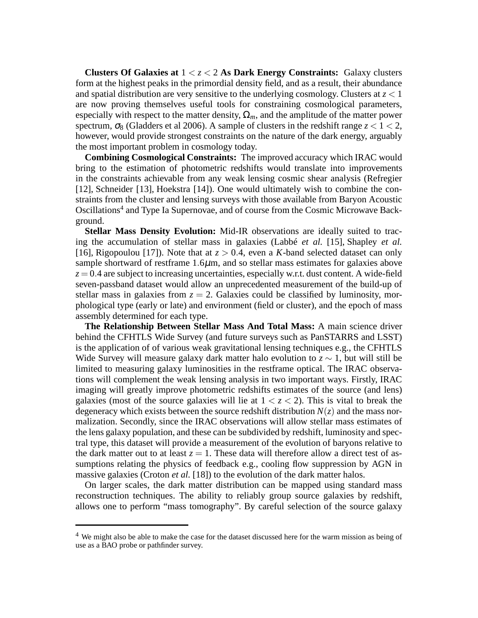**Clusters Of Galaxies at** 1 < *z* < 2 **As Dark Energy Constraints:** Galaxy clusters form at the highest peaks in the primordial density field, and as a result, their abundance and spatial distribution are very sensitive to the underlying cosmology. Clusters at  $z < 1$ are now proving themselves useful tools for constraining cosmological parameters, especially with respect to the matter density,  $\Omega_m$ , and the amplitude of the matter power spectrum,  $\sigma_8$  (Gladders et al 2006). A sample of clusters in the redshift range  $z < 1 < 2$ , however, would provide strongest constraints on the nature of the dark energy, arguably the most important problem in cosmology today.

**Combining Cosmological Constraints:** The improved accuracy which IRAC would bring to the estimation of photometric redshifts would translate into improvements in the constraints achievable from any weak lensing cosmic shear analysis (Refregier [12], Schneider [13], Hoekstra [14]). One would ultimately wish to combine the constraints from the cluster and lensing surveys with those available from Baryon Acoustic Oscillations<sup>4</sup> and Type Ia Supernovae, and of course from the Cosmic Microwave Background.

**Stellar Mass Density Evolution:** Mid-IR observations are ideally suited to tracing the accumulation of stellar mass in galaxies (Labbé *et al.* [15], Shapley *et al.* [16], Rigopoulou [17]). Note that at  $z > 0.4$ , even a *K*-band selected dataset can only sample shortward of restframe  $1.6\mu$ m, and so stellar mass estimates for galaxies above  $z = 0.4$  are subject to increasing uncertainties, especially w.r.t. dust content. A wide-field seven-passband dataset would allow an unprecedented measurement of the build-up of stellar mass in galaxies from  $z = 2$ . Galaxies could be classified by luminosity, morphological type (early or late) and environment (field or cluster), and the epoch of mass assembly determined for each type.

**The Relationship Between Stellar Mass And Total Mass:** A main science driver behind the CFHTLS Wide Survey (and future surveys such as PanSTARRS and LSST) is the application of of various weak gravitational lensing techniques e.g., the CFHTLS Wide Survey will measure galaxy dark matter halo evolution to  $z \sim 1$ , but will still be limited to measuring galaxy luminosities in the restframe optical. The IRAC observations will complement the weak lensing analysis in two important ways. Firstly, IRAC imaging will greatly improve photometric redshifts estimates of the source (and lens) galaxies (most of the source galaxies will lie at  $1 < z < 2$ ). This is vital to break the degeneracy which exists between the source redshift distribution  $N(z)$  and the mass normalization. Secondly, since the IRAC observations will allow stellar mass estimates of the lens galaxy population, and these can be subdivided by redshift, luminosity and spectral type, this dataset will provide a measurement of the evolution of baryons relative to the dark matter out to at least  $z = 1$ . These data will therefore allow a direct test of assumptions relating the physics of feedback e.g., cooling flow suppression by AGN in massive galaxies (Croton *et al.* [18]) to the evolution of the dark matter halos.

On larger scales, the dark matter distribution can be mapped using standard mass reconstruction techniques. The ability to reliably group source galaxies by redshift, allows one to perform "mass tomography". By careful selection of the source galaxy

<sup>&</sup>lt;sup>4</sup> We might also be able to make the case for the dataset discussed here for the warm mission as being of use as a BAO probe or pathfinder survey.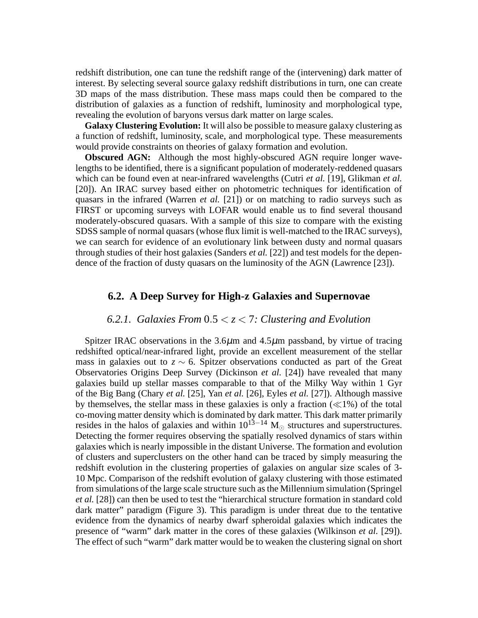redshift distribution, one can tune the redshift range of the (intervening) dark matter of interest. By selecting several source galaxy redshift distributions in turn, one can create 3D maps of the mass distribution. These mass maps could then be compared to the distribution of galaxies as a function of redshift, luminosity and morphological type, revealing the evolution of baryons versus dark matter on large scales.

**Galaxy Clustering Evolution:** It will also be possible to measure galaxy clustering as a function of redshift, luminosity, scale, and morphological type. These measurements would provide constraints on theories of galaxy formation and evolution.

**Obscured AGN:** Although the most highly-obscured AGN require longer wavelengths to be identified, there is a significant population of moderately-reddened quasars which can be found even at near-infrared wavelengths (Cutri *et al.* [19], Glikman *et al.* [20]). An IRAC survey based either on photometric techniques for identification of quasars in the infrared (Warren *et al.* [21]) or on matching to radio surveys such as FIRST or upcoming surveys with LOFAR would enable us to find several thousand moderately-obscured quasars. With a sample of this size to compare with the existing SDSS sample of normal quasars (whose flux limit is well-matched to the IRAC surveys), we can search for evidence of an evolutionary link between dusty and normal quasars through studies of their host galaxies (Sanders *et al.* [22]) and test models for the dependence of the fraction of dusty quasars on the luminosity of the AGN (Lawrence [23]).

# **6.2. A Deep Survey for High-z Galaxies and Supernovae**

# *6.2.1. Galaxies From* 0.5 < *z* < 7*: Clustering and Evolution*

Spitzer IRAC observations in the  $3.6\mu$ m and  $4.5\mu$ m passband, by virtue of tracing redshifted optical/near-infrared light, provide an excellent measurement of the stellar mass in galaxies out to  $z \sim 6$ . Spitzer observations conducted as part of the Great Observatories Origins Deep Survey (Dickinson *et al.* [24]) have revealed that many galaxies build up stellar masses comparable to that of the Milky Way within 1 Gyr of the Big Bang (Chary *et al.* [25], Yan *et al.* [26], Eyles *et al.* [27]). Although massive by themselves, the stellar mass in these galaxies is only a fraction  $(\ll 1\%)$  of the total co-moving matter density which is dominated by dark matter. This dark matter primarily resides in the halos of galaxies and within  $10^{13-14}$  M<sub>☉</sub> structures and superstructures. Detecting the former requires observing the spatially resolved dynamics of stars within galaxies which is nearly impossible in the distant Universe. The formation and evolution of clusters and superclusters on the other hand can be traced by simply measuring the redshift evolution in the clustering properties of galaxies on angular size scales of 3- 10 Mpc. Comparison of the redshift evolution of galaxy clustering with those estimated from simulations of the large scale structure such as the Millennium simulation (Springel *et al.* [28]) can then be used to test the "hierarchical structure formation in standard cold dark matter" paradigm (Figure 3). This paradigm is under threat due to the tentative evidence from the dynamics of nearby dwarf spheroidal galaxies which indicates the presence of "warm" dark matter in the cores of these galaxies (Wilkinson *et al.* [29]). The effect of such "warm" dark matter would be to weaken the clustering signal on short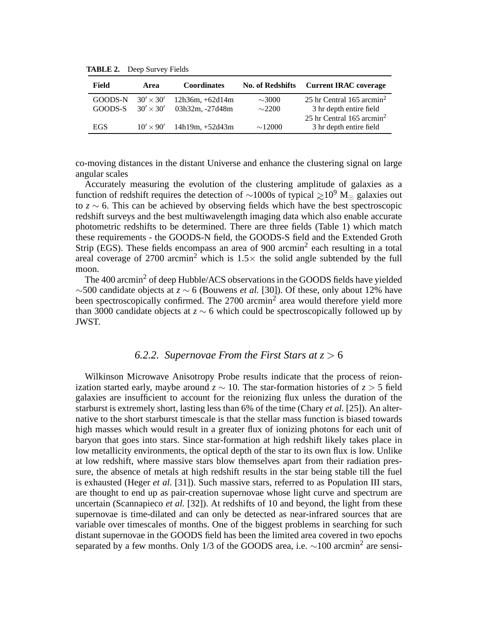**TABLE 2.** Deep Survey Fields

| Field              | Area                                 | <b>Coordinates</b>                   | <b>No. of Redshifts</b>    | <b>Current IRAC coverage</b>                                                                                |
|--------------------|--------------------------------------|--------------------------------------|----------------------------|-------------------------------------------------------------------------------------------------------------|
| GOODS-N<br>GOODS-S | $30' \times 30'$<br>$30' \times 30'$ | $12h36m + 62d14m$<br>03h32m, -27d48m | $\sim$ 3000<br>$\sim$ 2200 | 25 hr Central $165$ arcmin <sup>2</sup><br>3 hr depth entire field<br>25 hr Central 165 arcmin <sup>2</sup> |
| EGS                | $10' \times 90'$                     | $14h19m, +52d43m$                    | $\sim$ 12000               | 3 hr depth entire field                                                                                     |

co-moving distances in the distant Universe and enhance the clustering signal on large angular scales

Accurately measuring the evolution of the clustering amplitude of galaxies as a function of redshift requires the detection of ~1000s of typical  $\gtrsim 10^9$  M<sub>☉</sub> galaxies out to *z* ∼ 6. This can be achieved by observing fields which have the best spectroscopic redshift surveys and the best multiwavelength imaging data which also enable accurate photometric redshifts to be determined. There are three fields (Table 1) which match these requirements - the GOODS-N field, the GOODS-S field and the Extended Groth Strip (EGS). These fields encompass an area of 900 arcmin<sup>2</sup> each resulting in a total areal coverage of 2700 arcmin<sup>2</sup> which is  $1.5\times$  the solid angle subtended by the full moon.

The 400 arcmin<sup>2</sup> of deep Hubble/ACS observations in the GOODS fields have yielded ∼500 candidate objects at *z* ∼ 6 (Bouwens *et al.* [30]). Of these, only about 12% have been spectroscopically confirmed. The 2700 arcmin<sup>2</sup> area would therefore yield more than 3000 candidate objects at *z* ∼ 6 which could be spectroscopically followed up by JWST.

#### *6.2.2. Supernovae From the First Stars at z* > 6

Wilkinson Microwave Anisotropy Probe results indicate that the process of reionization started early, maybe around  $z \sim 10$ . The star-formation histories of  $z > 5$  field galaxies are insufficient to account for the reionizing flux unless the duration of the starburst is extremely short, lasting less than 6% of the time (Chary *et al.* [25]). An alternative to the short starburst timescale is that the stellar mass function is biased towards high masses which would result in a greater flux of ionizing photons for each unit of baryon that goes into stars. Since star-formation at high redshift likely takes place in low metallicity environments, the optical depth of the star to its own flux is low. Unlike at low redshift, where massive stars blow themselves apart from their radiation pressure, the absence of metals at high redshift results in the star being stable till the fuel is exhausted (Heger *et al.* [31]). Such massive stars, referred to as Population III stars, are thought to end up as pair-creation supernovae whose light curve and spectrum are uncertain (Scannapieco *et al.* [32]). At redshifts of 10 and beyond, the light from these supernovae is time-dilated and can only be detected as near-infrared sources that are variable over timescales of months. One of the biggest problems in searching for such distant supernovae in the GOODS field has been the limited area covered in two epochs separated by a few months. Only 1/3 of the GOODS area, i.e.  $\sim$ 100 arcmin<sup>2</sup> are sensi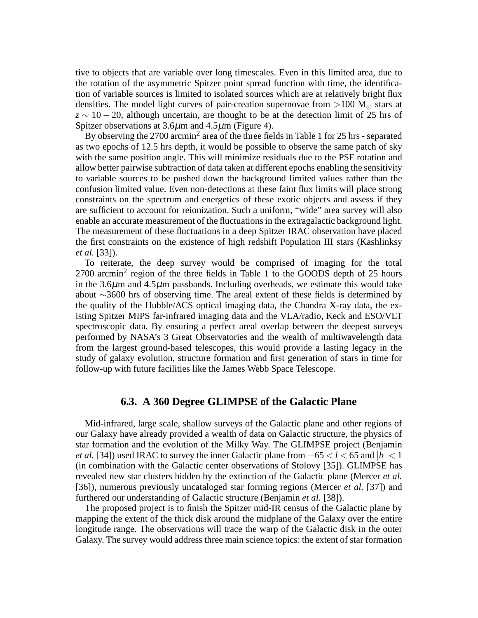tive to objects that are variable over long timescales. Even in this limited area, due to the rotation of the asymmetric Spitzer point spread function with time, the identification of variable sources is limited to isolated sources which are at relatively bright flux densities. The model light curves of pair-creation supernovae from >100  $M_{\odot}$  stars at *z* ∼ 10 − 20, although uncertain, are thought to be at the detection limit of 25 hrs of Spitzer observations at  $3.6\mu$ m and  $4.5\mu$ m (Figure 4).

By observing the  $2700$  arcmin<sup>2</sup> area of the three fields in Table 1 for 25 hrs - separated as two epochs of 12.5 hrs depth, it would be possible to observe the same patch of sky with the same position angle. This will minimize residuals due to the PSF rotation and allow better pairwise subtraction of data taken at different epochs enabling the sensitivity to variable sources to be pushed down the background limited values rather than the confusion limited value. Even non-detections at these faint flux limits will place strong constraints on the spectrum and energetics of these exotic objects and assess if they are sufficient to account for reionization. Such a uniform, "wide" area survey will also enable an accurate measurement of the fluctuations in the extragalactic background light. The measurement of these fluctuations in a deep Spitzer IRAC observation have placed the first constraints on the existence of high redshift Population III stars (Kashlinksy *et al.* [33]).

To reiterate, the deep survey would be comprised of imaging for the total  $2700$  arcmin<sup>2</sup> region of the three fields in Table 1 to the GOODS depth of 25 hours in the  $3.6\mu$ m and  $4.5\mu$ m passbands. Including overheads, we estimate this would take about ∼3600 hrs of observing time. The areal extent of these fields is determined by the quality of the Hubble/ACS optical imaging data, the Chandra X-ray data, the existing Spitzer MIPS far-infrared imaging data and the VLA/radio, Keck and ESO/VLT spectroscopic data. By ensuring a perfect areal overlap between the deepest surveys performed by NASA's 3 Great Observatories and the wealth of multiwavelength data from the largest ground-based telescopes, this would provide a lasting legacy in the study of galaxy evolution, structure formation and first generation of stars in time for follow-up with future facilities like the James Webb Space Telescope.

#### **6.3. A 360 Degree GLIMPSE of the Galactic Plane**

Mid-infrared, large scale, shallow surveys of the Galactic plane and other regions of our Galaxy have already provided a wealth of data on Galactic structure, the physics of star formation and the evolution of the Milky Way. The GLIMPSE project (Benjamin *et al.* [34]) used IRAC to survey the inner Galactic plane from  $-65 < l < 65$  and  $|b| < 1$ (in combination with the Galactic center observations of Stolovy [35]). GLIMPSE has revealed new star clusters hidden by the extinction of the Galactic plane (Mercer *et al.* [36]), numerous previously uncataloged star forming regions (Mercer *et al.* [37]) and furthered our understanding of Galactic structure (Benjamin *et al.* [38]).

The proposed project is to finish the Spitzer mid-IR census of the Galactic plane by mapping the extent of the thick disk around the midplane of the Galaxy over the entire longitude range. The observations will trace the warp of the Galactic disk in the outer Galaxy. The survey would address three main science topics: the extent of star formation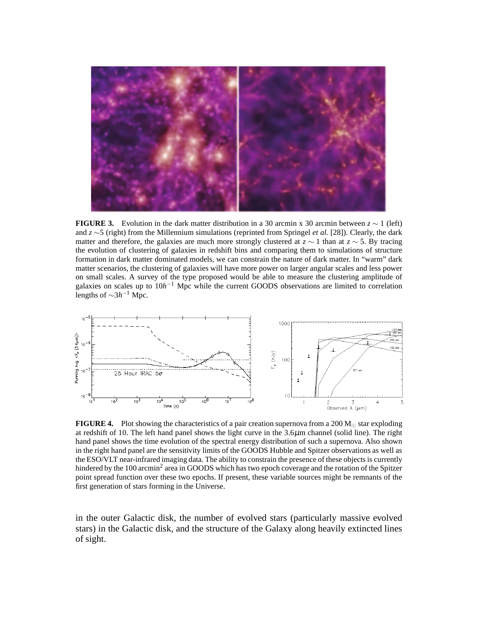

**FIGURE 3.** Evolution in the dark matter distribution in a 30 arcmin x 30 arcmin between  $z \sim 1$  (left) and *z* ∼5 (right) from the Millennium simulations (reprinted from Springel *et al.* [28]). Clearly, the dark matter and therefore, the galaxies are much more strongly clustered at  $z \sim 1$  than at  $z \sim 5$ . By tracing the evolution of clustering of galaxies in redshift bins and comparing them to simulations of structure formation in dark matter dominated models, we can constrain the nature of dark matter. In "warm" dark matter scenarios, the clustering of galaxies will have more power on larger angular scales and less power on small scales. A survey of the type proposed would be able to measure the clustering amplitude of galaxies on scales up to 10*h*<sup>-1</sup> Mpc while the current GOODS observations are limited to correlation lengths of  $\sim$ 3*h*<sup>-1</sup> Mpc.



**FIGURE 4.** Plot showing the characteristics of a pair creation supernova from a 200  $M_{\odot}$  star exploding at redshift of 10. The left hand panel shows the light curve in the  $3.6\mu$ m channel (solid line). The right hand panel shows the time evolution of the spectral energy distribution of such a supernova. Also shown in the right hand panel are the sensitivity limits of the GOODS Hubble and Spitzer observations as well as the ESO/VLT near-infrared imaging data. The ability to constrain the presence of these objects is currently hindered by the 100 arcmin<sup>2</sup> area in GOODS which has two epoch coverage and the rotation of the Spitzer point spread function over these two epochs. If present, these variable sources might be remnants of the first generation of stars forming in the Universe.

in the outer Galactic disk, the number of evolved stars (particularly massive evolved stars) in the Galactic disk, and the structure of the Galaxy along heavily extincted lines of sight.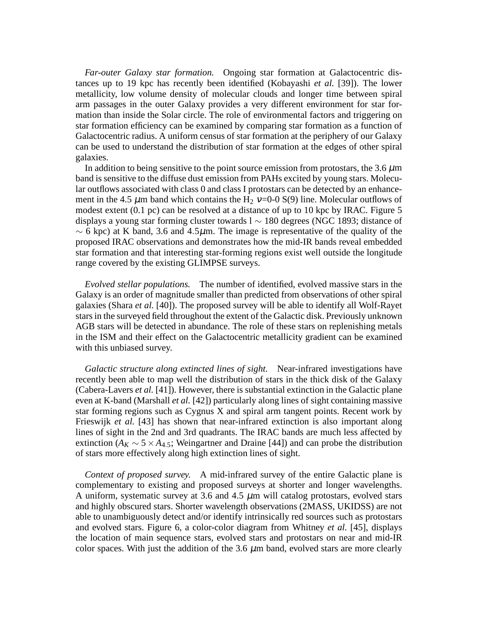*Far-outer Galaxy star formation.* Ongoing star formation at Galactocentric distances up to 19 kpc has recently been identified (Kobayashi *et al.* [39]). The lower metallicity, low volume density of molecular clouds and longer time between spiral arm passages in the outer Galaxy provides a very different environment for star formation than inside the Solar circle. The role of environmental factors and triggering on star formation efficiency can be examined by comparing star formation as a function of Galactocentric radius. A uniform census of star formation at the periphery of our Galaxy can be used to understand the distribution of star formation at the edges of other spiral galaxies.

In addition to being sensitive to the point source emission from protostars, the 3.6  $\mu$ m band is sensitive to the diffuse dust emission from PAHs excited by young stars. Molecular outflows associated with class 0 and class I protostars can be detected by an enhancement in the 4.5  $\mu$ m band which contains the H<sub>2</sub> ν=0-0 S(9) line. Molecular outflows of modest extent (0.1 pc) can be resolved at a distance of up to 10 kpc by IRAC. Figure 5 displays a young star forming cluster towards l ∼ 180 degrees (NGC 1893; distance of  $\sim$  6 kpc) at K band, 3.6 and 4.5 $\mu$ m. The image is representative of the quality of the proposed IRAC observations and demonstrates how the mid-IR bands reveal embedded star formation and that interesting star-forming regions exist well outside the longitude range covered by the existing GLIMPSE surveys.

*Evolved stellar populations.* The number of identified, evolved massive stars in the Galaxy is an order of magnitude smaller than predicted from observations of other spiral galaxies (Shara *et al.* [40]). The proposed survey will be able to identify all Wolf-Rayet stars in the surveyed field throughout the extent of the Galactic disk. Previously unknown AGB stars will be detected in abundance. The role of these stars on replenishing metals in the ISM and their effect on the Galactocentric metallicity gradient can be examined with this unbiased survey.

*Galactic structure along extincted lines of sight.* Near-infrared investigations have recently been able to map well the distribution of stars in the thick disk of the Galaxy (Cabera-Lavers *et al.* [41]). However, there is substantial extinction in the Galactic plane even at K-band (Marshall *et al.* [42]) particularly along lines of sight containing massive star forming regions such as Cygnus X and spiral arm tangent points. Recent work by Frieswijk *et al.* [43] has shown that near-infrared extinction is also important along lines of sight in the 2nd and 3rd quadrants. The IRAC bands are much less affected by extinction ( $A_K \sim 5 \times A_{4,5}$ ; Weingartner and Draine [44]) and can probe the distribution of stars more effectively along high extinction lines of sight.

*Context of proposed survey.* A mid-infrared survey of the entire Galactic plane is complementary to existing and proposed surveys at shorter and longer wavelengths. A uniform, systematic survey at 3.6 and 4.5  $\mu$ m will catalog protostars, evolved stars and highly obscured stars. Shorter wavelength observations (2MASS, UKIDSS) are not able to unambiguously detect and/or identify intrinsically red sources such as protostars and evolved stars. Figure 6, a color-color diagram from Whitney *et al.* [45], displays the location of main sequence stars, evolved stars and protostars on near and mid-IR color spaces. With just the addition of the 3.6  $\mu$ m band, evolved stars are more clearly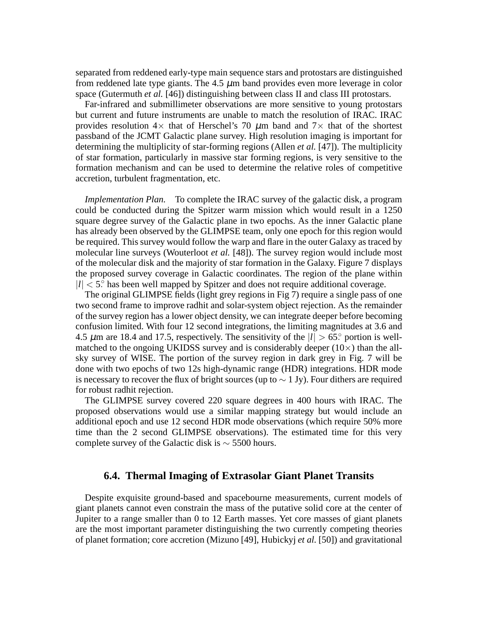separated from reddened early-type main sequence stars and protostars are distinguished from reddened late type giants. The 4.5  $\mu$ m band provides even more leverage in color space (Gutermuth *et al.* [46]) distinguishing between class II and class III protostars.

Far-infrared and submillimeter observations are more sensitive to young protostars but current and future instruments are unable to match the resolution of IRAC. IRAC provides resolution  $4\times$  that of Herschel's 70  $\mu$ m band and 7 $\times$  that of the shortest passband of the JCMT Galactic plane survey. High resolution imaging is important for determining the multiplicity of star-forming regions (Allen *et al.* [47]). The multiplicity of star formation, particularly in massive star forming regions, is very sensitive to the formation mechanism and can be used to determine the relative roles of competitive accretion, turbulent fragmentation, etc.

*Implementation Plan.* To complete the IRAC survey of the galactic disk, a program could be conducted during the Spitzer warm mission which would result in a 1250 square degree survey of the Galactic plane in two epochs. As the inner Galactic plane has already been observed by the GLIMPSE team, only one epoch for this region would be required. This survey would follow the warp and flare in the outer Galaxy as traced by molecular line surveys (Wouterloot *et al.* [48]). The survey region would include most of the molecular disk and the majority of star formation in the Galaxy. Figure 7 displays the proposed survey coverage in Galactic coordinates. The region of the plane within  $|l| < 5$ <sup>o</sup> has been well mapped by Spitzer and does not require additional coverage.

The original GLIMPSE fields (light grey regions in Fig 7) require a single pass of one two second frame to improve radhit and solar-system object rejection. As the remainder of the survey region has a lower object density, we can integrate deeper before becoming confusion limited. With four 12 second integrations, the limiting magnitudes at 3.6 and 4.5  $\mu$ m are 18.4 and 17.5, respectively. The sensitivity of the  $|l| > 65$ ° portion is wellmatched to the ongoing UKIDSS survey and is considerably deeper  $(10\times)$  than the allsky survey of WISE. The portion of the survey region in dark grey in Fig. 7 will be done with two epochs of two 12s high-dynamic range (HDR) integrations. HDR mode is necessary to recover the flux of bright sources (up to  $\sim 1$  Jy). Four dithers are required for robust radhit rejection.

The GLIMPSE survey covered 220 square degrees in 400 hours with IRAC. The proposed observations would use a similar mapping strategy but would include an additional epoch and use 12 second HDR mode observations (which require 50% more time than the 2 second GLIMPSE observations). The estimated time for this very complete survey of the Galactic disk is  $\sim$  5500 hours.

### **6.4. Thermal Imaging of Extrasolar Giant Planet Transits**

Despite exquisite ground-based and spacebourne measurements, current models of giant planets cannot even constrain the mass of the putative solid core at the center of Jupiter to a range smaller than 0 to 12 Earth masses. Yet core masses of giant planets are the most important parameter distinguishing the two currently competing theories of planet formation; core accretion (Mizuno [49], Hubickyj *et al.* [50]) and gravitational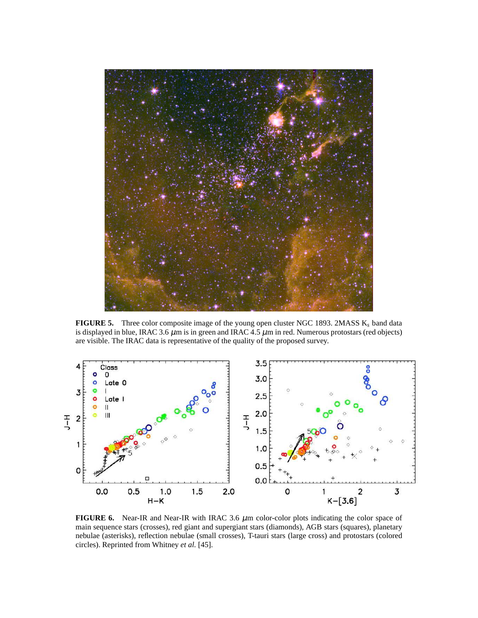

**FIGURE 5.** Three color composite image of the young open cluster NGC 1893. 2MASS K*<sup>s</sup>* band data is displayed in blue, IRAC 3.6  $\mu$ m is in green and IRAC 4.5  $\mu$ m in red. Numerous protostars (red objects) are visible. The IRAC data is representative of the quality of the proposed survey.



**FIGURE 6.** Near-IR and Near-IR with IRAC 3.6  $\mu$ m color-color plots indicating the color space of main sequence stars (crosses), red giant and supergiant stars (diamonds), AGB stars (squares), planetary nebulae (asterisks), reflection nebulae (small crosses), T-tauri stars (large cross) and protostars (colored circles). Reprinted from Whitney *et al.* [45].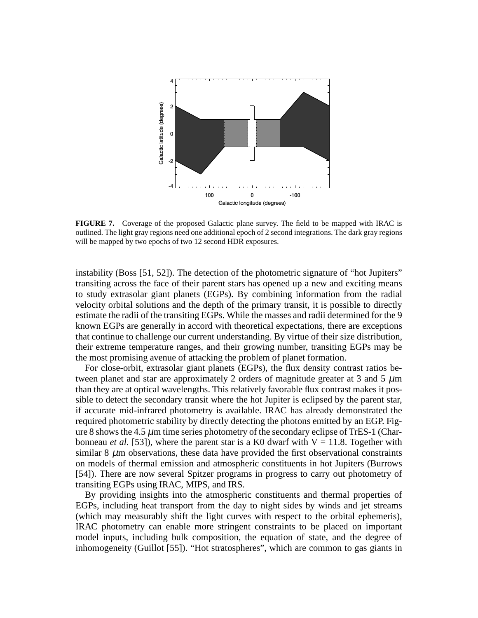

**FIGURE 7.** Coverage of the proposed Galactic plane survey. The field to be mapped with IRAC is outlined. The light gray regions need one additional epoch of 2 second integrations. The dark gray regions will be mapped by two epochs of two 12 second HDR exposures.

instability (Boss [51, 52]). The detection of the photometric signature of "hot Jupiters" transiting across the face of their parent stars has opened up a new and exciting means to study extrasolar giant planets (EGPs). By combining information from the radial velocity orbital solutions and the depth of the primary transit, it is possible to directly estimate the radii of the transiting EGPs. While the masses and radii determined for the 9 known EGPs are generally in accord with theoretical expectations, there are exceptions that continue to challenge our current understanding. By virtue of their size distribution, their extreme temperature ranges, and their growing number, transiting EGPs may be the most promising avenue of attacking the problem of planet formation.

For close-orbit, extrasolar giant planets (EGPs), the flux density contrast ratios between planet and star are approximately 2 orders of magnitude greater at 3 and 5  $\mu$ m than they are at optical wavelengths. This relatively favorable flux contrast makes it possible to detect the secondary transit where the hot Jupiter is eclipsed by the parent star, if accurate mid-infrared photometry is available. IRAC has already demonstrated the required photometric stability by directly detecting the photons emitted by an EGP. Figure 8 shows the 4.5  $\mu$ m time series photometry of the secondary eclipse of TrES-1 (Charbonneau *et al.* [53]), where the parent star is a K0 dwarf with  $V = 11.8$ . Together with similar  $8 \mu$ m observations, these data have provided the first observational constraints on models of thermal emission and atmospheric constituents in hot Jupiters (Burrows [54]). There are now several Spitzer programs in progress to carry out photometry of transiting EGPs using IRAC, MIPS, and IRS.

By providing insights into the atmospheric constituents and thermal properties of EGPs, including heat transport from the day to night sides by winds and jet streams (which may measurably shift the light curves with respect to the orbital ephemeris), IRAC photometry can enable more stringent constraints to be placed on important model inputs, including bulk composition, the equation of state, and the degree of inhomogeneity (Guillot [55]). "Hot stratospheres", which are common to gas giants in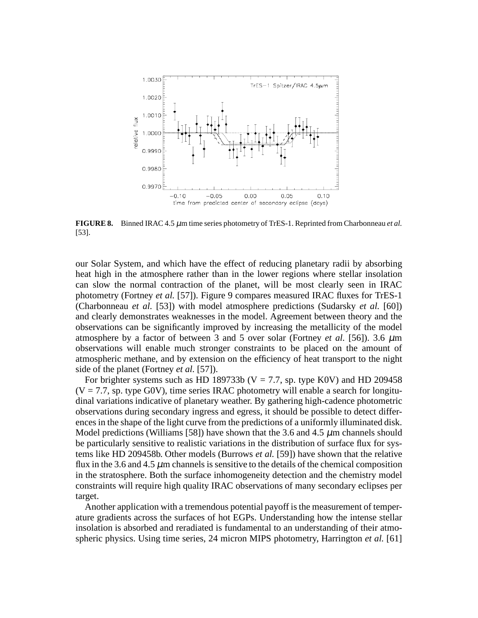

**FIGURE 8.** Binned IRAC 4.5 µm time series photometry of TrES-1. Reprinted from Charbonneau *et al.* [53].

our Solar System, and which have the effect of reducing planetary radii by absorbing heat high in the atmosphere rather than in the lower regions where stellar insolation can slow the normal contraction of the planet, will be most clearly seen in IRAC photometry (Fortney *et al.* [57]). Figure 9 compares measured IRAC fluxes for TrES-1 (Charbonneau *et al.* [53]) with model atmosphere predictions (Sudarsky *et al.* [60]) and clearly demonstrates weaknesses in the model. Agreement between theory and the observations can be significantly improved by increasing the metallicity of the model atmosphere by a factor of between 3 and 5 over solar (Fortney *et al.* [56]). 3.6  $\mu$ m observations will enable much stronger constraints to be placed on the amount of atmospheric methane, and by extension on the efficiency of heat transport to the night side of the planet (Fortney *et al.* [57]).

For brighter systems such as HD 189733b ( $V = 7.7$ , sp. type K0V) and HD 209458  $(V = 7.7$ , sp. type G0V), time series IRAC photometry will enable a search for longitudinal variations indicative of planetary weather. By gathering high-cadence photometric observations during secondary ingress and egress, it should be possible to detect differences in the shape of the light curve from the predictions of a uniformly illuminated disk. Model predictions (Williams [58]) have shown that the 3.6 and 4.5  $\mu$ m channels should be particularly sensitive to realistic variations in the distribution of surface flux for systems like HD 209458b. Other models (Burrows *et al.* [59]) have shown that the relative flux in the 3.6 and 4.5  $\mu$ m channels is sensitive to the details of the chemical composition in the stratosphere. Both the surface inhomogeneity detection and the chemistry model constraints will require high quality IRAC observations of many secondary eclipses per target.

Another application with a tremendous potential payoff is the measurement of temperature gradients across the surfaces of hot EGPs. Understanding how the intense stellar insolation is absorbed and reradiated is fundamental to an understanding of their atmospheric physics. Using time series, 24 micron MIPS photometry, Harrington *et al.* [61]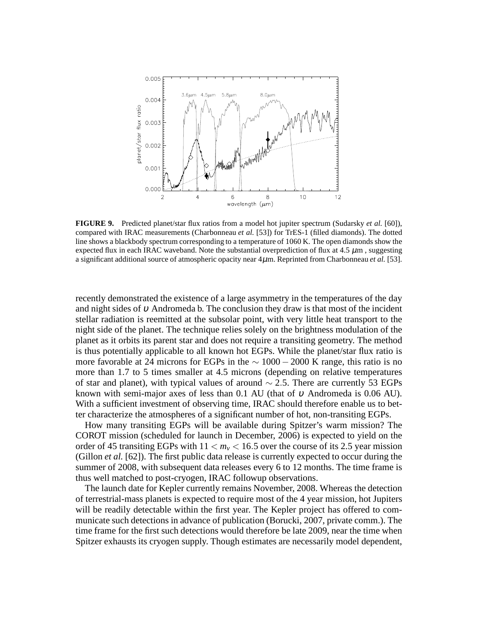

**FIGURE 9.** Predicted planet/star flux ratios from a model hot jupiter spectrum (Sudarsky *et al.* [60]), compared with IRAC measurements (Charbonneau *et al.* [53]) for TrES-1 (filled diamonds). The dotted line shows a blackbody spectrum corresponding to a temperature of 1060 K. The open diamonds show the expected flux in each IRAC waveband. Note the substantial overprediction of flux at  $4.5 \mu m$ , suggesting a significant additional source of atmospheric opacity near 4µm. Reprinted from Charbonneau *et al.* [53].

recently demonstrated the existence of a large asymmetry in the temperatures of the day and night sides of <sup>υ</sup> Andromeda b. The conclusion they draw is that most of the incident stellar radiation is reemitted at the subsolar point, with very little heat transport to the night side of the planet. The technique relies solely on the brightness modulation of the planet as it orbits its parent star and does not require a transiting geometry. The method is thus potentially applicable to all known hot EGPs. While the planet/star flux ratio is more favorable at 24 microns for EGPs in the  $\sim 1000 - 2000$  K range, this ratio is no more than 1.7 to 5 times smaller at 4.5 microns (depending on relative temperatures of star and planet), with typical values of around ∼ 2.5. There are currently 53 EGPs known with semi-major axes of less than 0.1 AU (that of  $\nu$  Andromeda is 0.06 AU). With a sufficient investment of observing time, IRAC should therefore enable us to better characterize the atmospheres of a significant number of hot, non-transiting EGPs.

How many transiting EGPs will be available during Spitzer's warm mission? The COROT mission (scheduled for launch in December, 2006) is expected to yield on the order of 45 transiting EGPs with  $11 < m_v < 16.5$  over the course of its 2.5 year mission (Gillon *et al.* [62]). The first public data release is currently expected to occur during the summer of 2008, with subsequent data releases every 6 to 12 months. The time frame is thus well matched to post-cryogen, IRAC followup observations.

The launch date for Kepler currently remains November, 2008. Whereas the detection of terrestrial-mass planets is expected to require most of the 4 year mission, hot Jupiters will be readily detectable within the first year. The Kepler project has offered to communicate such detections in advance of publication (Borucki, 2007, private comm.). The time frame for the first such detections would therefore be late 2009, near the time when Spitzer exhausts its cryogen supply. Though estimates are necessarily model dependent,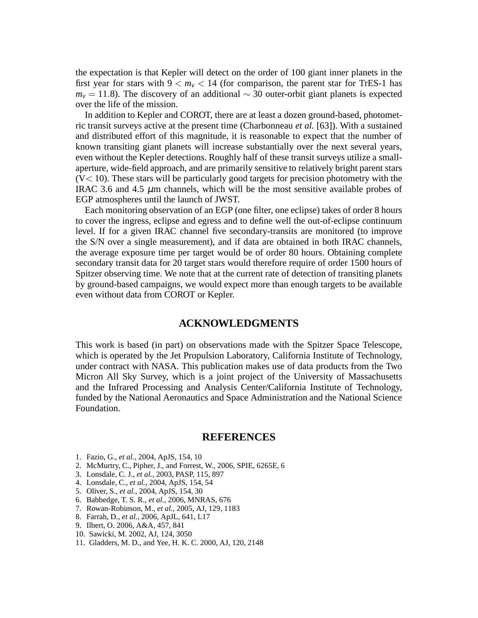the expectation is that Kepler will detect on the order of 100 giant inner planets in the first year for stars with  $9 < m<sub>v</sub> < 14$  (for comparison, the parent star for TrES-1 has  $m<sub>v</sub>$  = 11.8). The discovery of an additional  $\sim$  30 outer-orbit giant planets is expected over the life of the mission.

In addition to Kepler and COROT, there are at least a dozen ground-based, photometric transit surveys active at the present time (Charbonneau *et al.* [63]). With a sustained and distributed effort of this magnitude, it is reasonable to expect that the number of known transiting giant planets will increase substantially over the next several years, even without the Kepler detections. Roughly half of these transit surveys utilize a smallaperture, wide-field approach, and are primarily sensitive to relatively bright parent stars  $(V<10)$ . These stars will be particularly good targets for precision photometry with the IRAC 3.6 and 4.5  $\mu$ m channels, which will be the most sensitive available probes of EGP atmospheres until the launch of JWST.

Each monitoring observation of an EGP (one filter, one eclipse) takes of order 8 hours to cover the ingress, eclipse and egress and to define well the out-of-eclipse continuum level. If for a given IRAC channel five secondary-transits are monitored (to improve the S/N over a single measurement), and if data are obtained in both IRAC channels, the average exposure time per target would be of order 80 hours. Obtaining complete secondary transit data for 20 target stars would therefore require of order 1500 hours of Spitzer observing time. We note that at the current rate of detection of transiting planets by ground-based campaigns, we would expect more than enough targets to be available even without data from COROT or Kepler.

### **ACKNOWLEDGMENTS**

This work is based (in part) on observations made with the Spitzer Space Telescope, which is operated by the Jet Propulsion Laboratory, California Institute of Technology, under contract with NASA. This publication makes use of data products from the Two Micron All Sky Survey, which is a joint project of the University of Massachusetts and the Infrared Processing and Analysis Center/California Institute of Technology, funded by the National Aeronautics and Space Administration and the National Science Foundation.

### **REFERENCES**

- 1. Fazio, G., *et al.*, 2004, ApJS, 154, 10
- 2. McMurtry, C., Pipher, J., and Forrest, W., 2006, SPIE, 6265E, 6
- 3. Lonsdale, C. J., *et al.*, 2003, PASP, 115, 897
- 4. Lonsdale, C., *et al.*, 2004, ApJS, 154, 54
- 5. Oliver, S., *et al.*, 2004, ApJS, 154, 30
- 6. Babbedge, T. S. R., *et al.*, 2006, MNRAS, 676
- 7. Rowan-Robinson, M., *et al.*, 2005, AJ, 129, 1183
- 8. Farrah, D., *et al.*, 2006, ApJL, 641, L17
- 9. Ilbert, O. 2006, A&A, 457, 841
- 10. Sawicki, M. 2002, AJ, 124, 3050
- 11. Gladders, M. D., and Yee, H. K. C. 2000, AJ, 120, 2148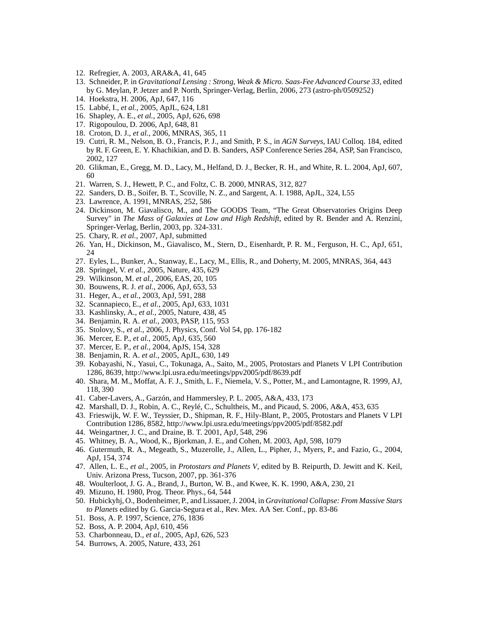- 12. Refregier, A. 2003, ARA&A, 41, 645
- 13. Schneider, P. in *Gravitational Lensing : Strong, Weak & Micro. Saas-Fee Advanced Course 33*, edited by G. Meylan, P. Jetzer and P. North, Springer-Verlag, Berlin, 2006, 273 (astro-ph/0509252)
- 14. Hoekstra, H. 2006, ApJ, 647, 116
- 15. Labbé, I., *et al.*, 2005, ApJL, 624, L81
- 16. Shapley, A. E., *et al.*, 2005, ApJ, 626, 698
- 17. Rigopoulou, D. 2006, ApJ, 648, 81
- 18. Croton, D. J., *et al.*, 2006, MNRAS, 365, 11
- 19. Cutri, R. M., Nelson, B. O., Francis, P. J., and Smith, P. S., in *AGN Surveys*, IAU Colloq. 184, edited by R. F. Green, E. Y. Khachikian, and D. B. Sanders, ASP Conference Series 284, ASP, San Francisco, 2002, 127
- 20. Glikman, E., Gregg, M. D., Lacy, M., Helfand, D. J., Becker, R. H., and White, R. L. 2004, ApJ, 607, 60
- 21. Warren, S. J., Hewett, P. C., and Foltz, C. B. 2000, MNRAS, 312, 827
- 22. Sanders, D. B., Soifer, B. T., Scoville, N. Z., and Sargent, A. I. 1988, ApJL, 324, L55
- 23. Lawrence, A. 1991, MNRAS, 252, 586
- 24. Dickinson, M. Giavalisco, M., and The GOODS Team, "The Great Observatories Origins Deep Survey" in *The Mass of Galaxies at Low and High Redshift*, edited by R. Bender and A. Renzini, Springer-Verlag, Berlin, 2003, pp. 324-331.
- 25. Chary, R. *et al.*, 2007, ApJ, submitted
- 26. Yan, H., Dickinson, M., Giavalisco, M., Stern, D., Eisenhardt, P. R. M., Ferguson, H. C., ApJ, 651, 24
- 27. Eyles, L., Bunker, A., Stanway, E., Lacy, M., Ellis, R., and Doherty, M. 2005, MNRAS, 364, 443
- 28. Springel, V. *et al.*, 2005, Nature, 435, 629
- 29. Wilkinson, M. *et al.*, 2006, EAS, 20, 105
- 30. Bouwens, R. J. *et al.*, 2006, ApJ, 653, 53
- 31. Heger, A., *et al.*, 2003, ApJ, 591, 288
- 32. Scannapieco, E., *et al.*, 2005, ApJ, 633, 1031
- 33. Kashlinsky, A., *et al.*, 2005, Nature, 438, 45
- 34. Benjamin, R. A. *et al.*, 2003, PASP, 115, 953
- 35. Stolovy, S., *et al.*, 2006, J. Physics, Conf. Vol 54, pp. 176-182
- 36. Mercer, E. P., *et al.*, 2005, ApJ, 635, 560
- 37. Mercer, E. P., *et al.*, 2004, ApJS, 154, 328
- 38. Benjamin, R. A. *et al.*, 2005, ApJL, 630, 149
- 39. Kobayashi, N., Yasui, C., Tokunaga, A., Saito, M., 2005, Protostars and Planets V LPI Contribution 1286, 8639, http://www.lpi.usra.edu/meetings/ppv2005/pdf/8639.pdf
- 40. Shara, M. M., Moffat, A. F. J., Smith, L. F., Niemela, V. S., Potter, M., and Lamontagne, R. 1999, AJ, 118, 390
- 41. Caber-Lavers, A., Garzón, and Hammersley, P. L. 2005, A&A, 433, 173
- 42. Marshall, D. J., Robin, A. C., Reylé, C., Schultheis, M., and Picaud, S. 2006, A&A, 453, 635
- 43. Frieswijk, W. F. W., Teyssier, D., Shipman, R. F., Hily-Blant, P., 2005, Protostars and Planets V LPI Contribution 1286, 8582, http://www.lpi.usra.edu/meetings/ppv2005/pdf/8582.pdf
- 44. Weingartner, J. C., and Draine, B. T. 2001, ApJ, 548, 296
- 45. Whitney, B. A., Wood, K., Bjorkman, J. E., and Cohen, M. 2003, ApJ, 598, 1079
- 46. Gutermuth, R. A., Megeath, S., Muzerolle, J., Allen, L., Pipher, J., Myers, P., and Fazio, G., 2004, ApJ, 154, 374
- 47. Allen, L. E., *et al.*, 2005, in *Protostars and Planets V*, edited by B. Reipurth, D. Jewitt and K. Keil, Univ. Arizona Press, Tucson, 2007, pp. 361-376
- 48. Woulterloot, J. G. A., Brand, J., Burton, W. B., and Kwee, K. K. 1990, A&A, 230, 21
- 49. Mizuno, H. 1980, Prog. Theor. Phys., 64, 544
- 50. Hubickyhj, O., Bodenheimer, P., and Lissauer, J. 2004, in *Gravitational Collapse: From Massive Stars to Planets* edited by G. Garcia-Segura et al., Rev. Mex. AA Ser. Conf., pp. 83-86
- 51. Boss, A. P. 1997, Science, 276, 1836
- 52. Boss, A. P. 2004, ApJ, 610, 456
- 53. Charbonneau, D., *et al.*, 2005, ApJ, 626, 523
- 54. Burrows, A. 2005, Nature, 433, 261